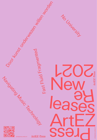